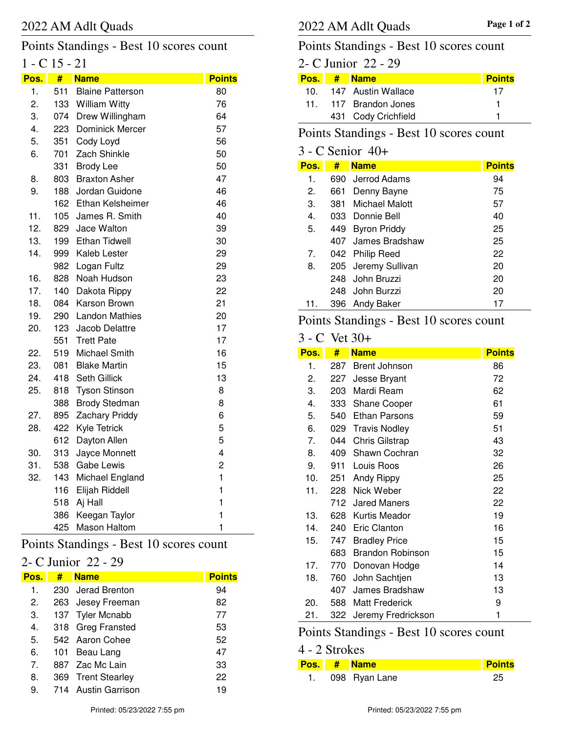#### 2022 AM Adlt Quads **Page 1 of 2** 2022 AM Adlt Quads

# Points Standings - Best 10 scores count

# 1 - C 15 - 21

| Pos. | #   | <b>Name</b>             | <b>Points</b> |
|------|-----|-------------------------|---------------|
| 1.   | 511 | <b>Blaine Patterson</b> | 80            |
| 2.   | 133 | <b>William Witty</b>    | 76            |
| 3.   | 074 | Drew Willingham         | 64            |
| 4.   | 223 | Dominick Mercer         | 57            |
| 5.   | 351 | Cody Loyd               | 56            |
| 6.   | 701 | Zach Shinkle            | 50            |
|      | 331 | <b>Brody Lee</b>        | 50            |
| 8.   | 803 | <b>Braxton Asher</b>    | 47            |
| 9.   | 188 | Jordan Guidone          | 46            |
|      | 162 | Ethan Kelsheimer        | 46            |
| 11.  | 105 | James R. Smith          | 40            |
| 12.  | 829 | Jace Walton             | 39            |
| 13.  | 199 | <b>Ethan Tidwell</b>    | 30            |
| 14.  | 999 | Kaleb Lester            | 29            |
|      | 982 | Logan Fultz             | 29            |
| 16.  | 828 | Noah Hudson             | 23            |
| 17.  | 140 | Dakota Rippy            | 22            |
| 18.  | 084 | Karson Brown            | 21            |
| 19.  | 290 | <b>Landon Mathies</b>   | 20            |
| 20.  | 123 | Jacob Delattre          | 17            |
|      | 551 | <b>Trett Pate</b>       | 17            |
| 22.  | 519 | Michael Smith           | 16            |
| 23.  | 081 | <b>Blake Martin</b>     | 15            |
| 24.  | 418 | Seth Gillick            | 13            |
| 25.  | 818 | <b>Tyson Stinson</b>    | 8             |
|      | 388 | <b>Brody Stedman</b>    | 8             |
| 27.  | 895 | <b>Zachary Priddy</b>   | 6             |
| 28.  | 422 | <b>Kyle Tetrick</b>     | 5             |
|      | 612 | Dayton Allen            | 5             |
| 30.  | 313 | Jayce Monnett           | 4             |
| 31.  | 538 | <b>Gabe Lewis</b>       | 2             |
| 32.  | 143 | Michael England         | $\mathbf{1}$  |
|      | 116 | Elijah Riddell          | $\mathbf{1}$  |
|      | 518 | Aj Hall                 | $\mathbf{1}$  |
|      | 386 | Keegan Taylor           | $\mathbf{1}$  |
|      | 425 | <b>Mason Haltom</b>     | $\mathbf{1}$  |

## Points Standings - Best 10 scores count

### 2- C Junior 22 - 29

| Pos.                           | # | <b>Name</b>         | <b>Points</b> |
|--------------------------------|---|---------------------|---------------|
| 1.                             |   | 230 Jerad Brenton   | 94            |
| 2.                             |   | 263 Jesey Freeman   | 82            |
| 3.                             |   | 137 Tyler Mcnabb    | 77            |
| 4.                             |   | 318 Greg Fransted   | 53            |
| 5.                             |   | 542 Aaron Cohee     | 52            |
| 6.                             |   | 101 Beau Lang       | 47            |
| $7_{\scriptscriptstyle{\sim}}$ |   | 887 Zac Mc Lain     | 33            |
| 8.                             |   | 369 Trent Stearley  | 22            |
| 9.                             |   | 714 Austin Garrison | 19            |

# Points Standings - Best 10 scores count

# 2- C Junior 22 - 29

| Pos. I | # Name                | <b>Points</b> |
|--------|-----------------------|---------------|
| 10.    | 147 Austin Wallace    | 17            |
|        | 11. 117 Brandon Jones |               |
|        | 431 Cody Crichfield   |               |

### Points Standings - Best 10 scores count

# 3 - C Senior 40+

| Pos.           | #   | <b>Name</b>         | <b>Points</b> |
|----------------|-----|---------------------|---------------|
| 1.             |     | 690 Jerrod Adams    | 94            |
| 2.             | 661 | Denny Bayne         | 75            |
| 3.             | 381 | Michael Malott      | 57            |
| 4.             |     | 033 Donnie Bell     | 40            |
| 5.             | 449 | <b>Byron Priddy</b> | 25            |
|                |     | 407 James Bradshaw  | 25            |
| 7 <sub>1</sub> |     | 042 Philip Reed     | 22            |
| 8.             |     | 205 Jeremy Sullivan | 20            |
|                |     | 248 John Bruzzi     | 20            |
|                |     | 248 John Burzzi     | 20            |
| 11.            | 396 | Andy Baker          |               |

## Points Standings - Best 10 scores count

#### 3 - C Vet 30+

| Pos. | #   | <b>Name</b>             | <b>Points</b> |
|------|-----|-------------------------|---------------|
| 1.   | 287 | <b>Brent Johnson</b>    | 86            |
| 2.   | 227 | Jesse Bryant            | 72            |
| 3.   | 203 | Mardi Ream              | 62            |
| 4.   | 333 | <b>Shane Cooper</b>     | 61            |
| 5.   | 540 | <b>Ethan Parsons</b>    | 59            |
| 6.   |     | 029 Travis Nodley       | 51            |
| 7.   | 044 | <b>Chris Gilstrap</b>   | 43            |
| 8.   | 409 | Shawn Cochran           | 32            |
| 9.   | 911 | Louis Roos              | 26            |
| 10.  | 251 | Andy Rippy              | 25            |
| 11.  | 228 | Nick Weber              | 22            |
|      |     | 712 Jared Maners        | 22            |
| 13.  | 628 | Kurtis Meador           | 19            |
| 14.  | 240 | <b>Eric Clanton</b>     | 16            |
| 15.  | 747 | <b>Bradley Price</b>    | 15            |
|      | 683 | <b>Brandon Robinson</b> | 15            |
| 17.  | 770 | Donovan Hodge           | 14            |
| 18.  | 760 | John Sachtjen           | 13            |
|      | 407 | James Bradshaw          | 13            |
| 20.  | 588 | <b>Matt Frederick</b>   | 9             |
| 21.  | 322 | Jeremy Fredrickson      | 1             |

### Points Standings - Best 10 scores count

| 4 - 2 Strokes |                  |        |
|---------------|------------------|--------|
|               | Pos. # Name      | Points |
|               | 1. 098 Ryan Lane | 25     |